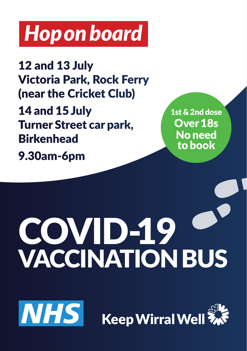# *Hopon board*

12 and 13 July Victoria Park, Rock Ferry (near the Cricket Club) 14 and 15 July Turner Street car park, **Birkenhead** 9.30am-6pm

**NHS** 

1st & 2nd dose Over 18s No need to book

# COVID-19 VACCINATION BUS